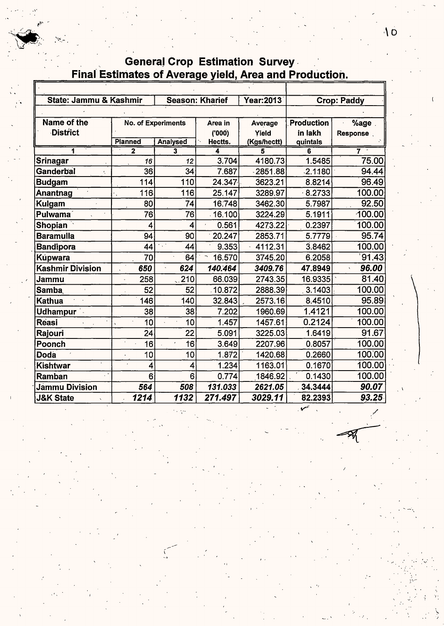# General Crop Estimation Survey<br>Final Estimates of Average yield, Area and Production.

| State: Jammu & Kashmir  |                |                               | <b>Season: Kharief</b> | Year: 2013        | <b>Crop: Paddy</b> |                 |  |
|-------------------------|----------------|-------------------------------|------------------------|-------------------|--------------------|-----------------|--|
|                         |                |                               |                        |                   |                    |                 |  |
| Name of the             |                | <b>No. of Experiments</b>     | Area in                | Average           | <b>Production</b>  | $%$ age         |  |
| <b>District</b>         |                |                               | (000)                  | Yield             | in lakh            | <b>Response</b> |  |
|                         | <b>Planned</b> | Analysed                      | Hectts.                | (Kgs/hectt)       | quintals           |                 |  |
|                         | $\mathbf{z}$   | 3                             |                        |                   | 6                  |                 |  |
| Srinagar                | 16             | 12                            | 3.704                  | 4180.73           | 1.5485             | 75.00           |  |
| <b>Ganderbal</b>        | 36             | 34                            | 7.687                  | 2851.88           | $-2.1180$          | 94.44           |  |
| <b>Budgam</b>           | 114            | 110                           | 24.347                 | 3623.21           | 8.8214             | 96.49           |  |
| Anantnag                | 116            | 116                           | 25.147                 | 3289.97           | 8.2733             | 100.00          |  |
| Kulgam                  | 80             | 74                            | 16.748                 | 3462.30           | 5.7987             | 92.50           |  |
| Pulwama <sup>1</sup>    | 76             | 76                            | 16.100                 | 3224.29           | 5.1911             | 100.00          |  |
| Shopian                 | 4              | 0.561<br>4                    |                        | 4273.22           | 0.2397             | 100.00          |  |
| <b>Baramulla</b>        | 94             | 90                            | 20.247                 | 2853.71           | 5.7779             | 95.74           |  |
| <b>Bandipora</b>        | 44             | $\epsilon_{\rm{eff}}$ :<br>44 |                        | 4112.31           | 3.8462             | 100.00          |  |
| Kúpwara                 | 70<br>64       |                               | 16.570                 | 6.2058<br>3745.20 |                    | 91.43           |  |
| <b>Kashmir Division</b> | 650            | 624                           | 140.464                | 3409.76           | 47.8949            | 96.00           |  |
| Jammu                   | 258            | 210                           | 66.039                 | 2743.35           | 16.9335            | 81.40           |  |
| <b>Samba</b>            | 52             | 52                            | 10.872                 | 2888.39           | 3.1403             | 100.00          |  |
| <b>Kathua</b>           | 146            | 140                           | 32.843                 | 2573.16           | 8.4510             | 95.89           |  |
| <b>Udhampur</b>         | 38             | 38                            | 7.202                  | 1960.69           | 1.4121             | 100.00          |  |
| <b>Reasi</b>            | 10             | 10                            | 1.457                  | 1457.61           | 0.2124             | 100.00          |  |
| Rajouri                 | 24             | 22                            | 5.091                  | 3225.03           | 1.6419             | 91.67           |  |
| Poonch                  | 16             | 16                            | 3.649                  | 2207.96           | 0.8057             | 100.00          |  |
| Doda                    | 10             | 10                            | 1.872                  | 1420.68           | 0.2660             | 100,00          |  |
| Kishtwar                | 4              | 4                             | 1.234                  | 1163.01           | 0.1670             | 100.00          |  |
| Ramban                  | 6              | 6                             | 0.774                  | 1846.92           | 0.1430             | 100.00          |  |
| Jammu Division          | 564            | 508                           | 131.033                | 2621.05           | 34.3444            | 90.07           |  |
| <b>J&amp;K State</b>    | 1214           | 1132                          | 271.497                | 3029.11           | 82.2393            | 93.25           |  |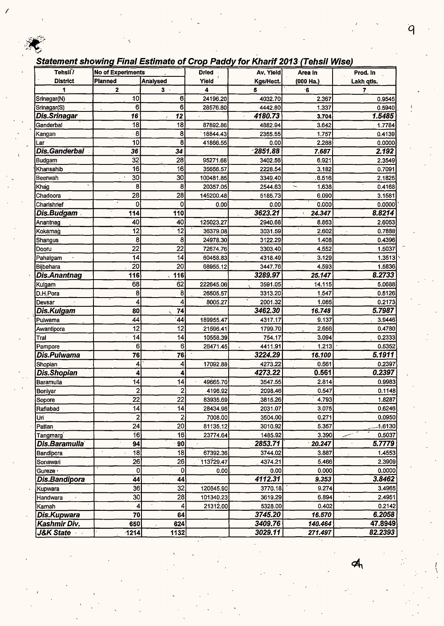#### Statement showing Final Estimate of Crop Paddy for Kharif 2013 (Tehsil Wise)

| Tehsil <sup>'</sup> / | <b>No of Experiments</b> |                 | <b>Dried</b> | Av. Yield  | Area In                           | Prod. In       |
|-----------------------|--------------------------|-----------------|--------------|------------|-----------------------------------|----------------|
| <b>District</b>       | Planned                  | <b>Analysed</b> | Yield        | Kgs/Hect.  | (000 Ha.)                         | Lakh qtls.     |
| 1                     | $\mathbf{z}$             | $3 -$           | 4            | 5          | 6                                 | $\overline{7}$ |
| Srinagar(N)           | 10                       | 6               | 24196.20     | 4032.70    | 2.367                             | 0.9545         |
| Srinagar(S)           | 6                        | 6               | 28576.80     | 4442.80    | 1.337                             | 0.5940         |
| Dis.Srinagar          | $\overline{16}$          | 12              |              | 4180.73    | 3.704                             | 1.5485         |
| Ganderbal             | 18                       | 18              | 87892.86     | 4882.94    | 3.642                             | 1.7784         |
| Kangan                | $\overline{\cdot}$ 8     | 8               | 18844.43     | 2355.55    | 1.757                             | 0.4139         |
| Lar                   | 10                       | 8               | 41866.55     | 0.00       | 2.288                             | 0.0000         |
| <b>Dis.Ganderbal</b>  | 36                       | 34              |              | $-2851.88$ | 7.687                             | 2.192          |
| Budgam                | 32                       | 28              | 95271.68     | 3402.56    | 6.921                             | 2.3549         |
| Khansahib             | 16                       | 16              | 35656.57     | 2228.54    | 3.182                             | 0.7091         |
| Beerwah               | 30                       | 30              | 100481.85    | 3349.40    | 6.516                             | 2.1825         |
| Khag                  | 8                        | 8               | 20357.05     | 2544.63    | 1.638<br>$\overline{\phantom{0}}$ | 0.4168         |
| Chadoora              | 28                       | 28              | 145200.48    | 5185.73    | 6.090                             | 3.1581         |
| Charishrief           | 0                        | 0               | 0.00         | 0.00       | 0.000                             | 0.0000         |
| Dis.Budgam            | 114                      | 110             |              | 3623.21    | 24.347                            | 8.8214         |
| Anantnag              | 40                       | 40              | 125023.27    | 2940.68    | 8.863                             | 2.6063         |
| Kokarnag              | 12                       | 12              | 36379.08     | 3031.59    | 2.602                             | 0.7888         |
| Shangus               | 8                        | 8               | 24978.30     | 3122.29    | 1.408                             | 0.4396         |
| Dooru                 | 22                       | $\overline{22}$ | 72674.76     | 3303.40    | 4.552                             | 1.5037         |
| Pahalgam              | 14                       | 14              | 60458.83     | 4318.49    | 3.129                             | 1.3513         |
| Bijbehara             | $\overline{20}$          | 20              | 68955.12     | 3447.76    | 4.593                             | 1.5836         |
| <b>Dis.Anantnag</b>   | 116                      | 116             |              | 3289.97    | 25.147                            | 8.2733         |
| Kulgam                | 68                       | 62              | 222645.06    | 3591.05    | 14.115                            | 5.0688         |
| D.H.Pora              | 8                        | 8               | 26505.57     | 3313.20    | 1.547                             | 0.5126         |
| Devsar                | 4                        | 4               | 8005.27      | 2001.32    | 1.086                             | 0.2173         |
| Dis.Kulgam            | 80                       | 74              |              | 3462.30    | 16.748                            | 5.7987         |
| Pulwama               | 44                       | 44              | 189955.47    | 4317.17    | 9.137                             | 3.9446         |
| Awantipora            | 12                       | 12              | 21596.41     | 1799.70    | 2.656                             | 0.4780         |
| Tral                  | 14                       | 14              | 10558.39     | 754.17     | 3.094                             | 0.2333         |
| Pampore               | 6                        | 6               | 26471.45     | 4411.91    | 1.213                             | 0.5352         |
| Dis.Pulwama           | 76                       | 76              |              | 3224.29    | 16.100                            | 5.1911         |
| Shopian               | 4                        | 4               | 17092.88     | 4273.22    | 0.561                             | 0.2397         |
| <b>Dis.Shopian</b>    | 4                        | 4               |              | 4273.22    | 0.561                             | 0.2397         |
| Baramulla             | 14                       | 14              | 49665.70     | 3547.55    | 2.814                             | 0.9983         |
| Boniyar               | $\mathbf{2}^{\prime}$    | $\mathbf{z}$    | 4196.92      | 2098.46    | 0.547                             | 0.1148         |
| Sopore                | 22                       | 22              | 83935.69     | ,3815.26   | 4.793                             | 1.8287         |
| Raflabad              | 4                        | 14              | 28434.96     | 2031.07    | 3.075                             | 0.6246         |
| Uri                   | $\mathbf{2}$             | 2               | 7008.00      | 3504.00    | 0.271                             | 0.0950         |
| Pattan                | $\overline{24}$          | 20              | 81135.12     | 3010.92    | 5.357                             | 1.6130         |
| Tangmarg              | $\overline{16}$          | 16              | 23774.64     | 1485.92    | 3.390                             | 0.5037         |
| Dis.Baramulla         | 94                       | 90              |              | 2853.71    | 20.247                            | 5.7779         |
| Bandipora             | 18                       | 18              | 67392.36     | 3744.02    | 3.887                             | 1.4553         |
| Sonawari              | 26                       | 26              | 113729.47    | 4374.21    | 5.466                             | 2.3909         |
| Gureze <sup>®</sup>   | $\mathbf 0$              | 0               | 0.00         | 0.00       | 0.000                             | 0.0000         |
| Dis.Bandipora         | 44                       | 44              |              | 4112.31    | 9.353                             | 3.8462         |
| Kupwara               | 36                       | $\overline{32}$ | 120645.90    | 3770.18    | 9.274                             | 3.4965         |
| Handwara              | 30                       | 28              | 101340.23    | 3619.29    | 6.894                             | 2.4951         |
| Karnah                | 4                        | 4               | 21312.00     | 5328.00    | 0.402                             | 0.2142         |
| Dis.Kupwara           | 70                       | 64              |              | 3745.20    | 16.570                            | 6.2058         |
| Kashmir Div.          | 650                      | 624             |              | 3409.76    | 140.464                           | 47,8949        |
| <b>J&amp;K State</b>  | 1214                     | 1132            |              | 3029.11    | 271.497                           | 82.2393        |

 $\overline{q}$ 

≮,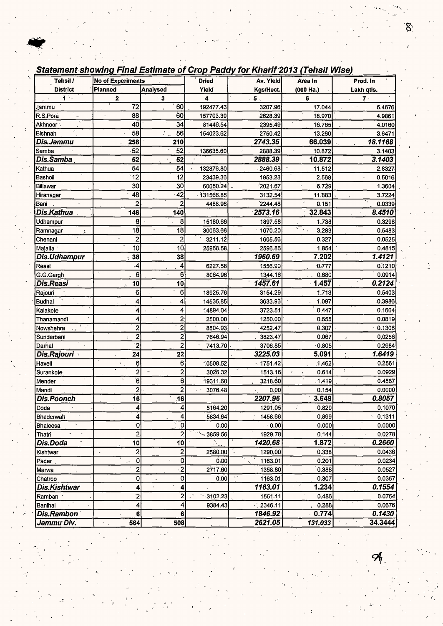$\overline{\phantom{0}}$ 

I,

#### **Statement showing Final Estimate of Crop Paddy for Kharif 2013 (Tehsil Wise)**

| Tehsil /            | <b>No of Experiments</b> |                               | <b>Dried</b>   | Av. Yield           | Area In   | Prod. In                          |
|---------------------|--------------------------|-------------------------------|----------------|---------------------|-----------|-----------------------------------|
| <b>District</b>     | Planned                  | <b>Analysed</b>               | Yield          | Kgs/Hect.           | (000 Ha.) | Lakh qtis.                        |
| 花                   | 2                        | $\ddot{\phantom{0}}$ 3        | 4              | 5                   | 6         | 7.                                |
| Jammu               | 72                       | 60                            | 192477.43      | 3207.96             | 17.044    | $\epsilon$ . $\epsilon$<br>5.4676 |
| R.S.Pora            | 88                       | 60                            | 157703.39      | $-2628.39$          | 18.970    | 4.9861                            |
| Akhnoor:            | 40                       | 34                            | 81446.54       | 2395.49             | 16.765    | 4.0160                            |
| Bishnah             | 58                       | 56<br>N.                      | 154023.62      | 2750.42             | 13.260    | 3.6471                            |
| Dis.Jammu           | 258                      | $-210$                        |                | 2743.35             | 66.039    | 18.1168                           |
| Samba               | 52                       | 52                            | 136635.60      | 2888.39             | 10.872    | 3.1403                            |
| Dis.Samba           | 52                       | 52                            |                | 2888.39             | 10.872    | 3.1403                            |
| Kathua              | 54                       | 54                            | 132876.80      | 2460.68             | 11.512    | 2.8327                            |
| Basholi             | 12                       | 12                            | 23439.36       | 1953.28             | 2.568     | 0.5016                            |
| Billawar            | 30                       | 30                            | 60650.24       | 2021.67             | 6.729     | 1.3604                            |
| Hiranagar           | 48                       | 42                            | 131566.85      | 3132.54             | 11.883    | 3,7224                            |
| Bani                | $\overline{2}$           | $\overline{2}$                | 4488.96        | 2244.48             | 0.151     | 0.0339                            |
| Dis.Kathua          | 146                      | 140                           |                | 2573.16             | 32.843    | 8.4510                            |
| Udhampur            | 8                        | 8                             | 15180.66       | 1897.58             | 1.738     | 0.3298                            |
| Ramnagar            | 18                       | $\overline{18}$               | 30063.66       | 1670.20             | 3.283     | 0.5483                            |
| Chenani             | $\mathbf 2$              | 2                             | 3211.12        | 1605.56             | 0.327     | 0.0525                            |
| Majalta             | 10                       | 10                            | 25968.58       | 2596.86             | 1.854     | 0.4815                            |
| Dis.Udhampur        | 38                       | 38                            |                | 1960.69             | 7.202     | 1.4121                            |
| Reasi               | $\overline{\mathbf{4}}$  | 4                             | 6227.58        | 1556.90             | 0.777     | 0.1210                            |
| G.G.Gargh           | 6                        | 6                             | 8064.96        | 1344.16             | 0.680     | 0.0914                            |
| Dis.Reasi           | 10                       | 10                            |                | 1457.61             | 1.457     | 0.2124                            |
| Rajouri             | 6                        | 6                             | 18925.76       | 3154.29             | 1.713     | 0.5403                            |
| <b>Budhal</b>       | 4                        | 4                             | 14535.85       | 3633.96             | 1.097     | 0.3986                            |
| Kalakote            | 4                        | 4                             | 14894.04       | 3723.51             | 0.447     | 0.1664                            |
| Thanamandi          | 4                        | 2                             | 2500.00        | 1250.00             | 0.655     | 0.0819                            |
| Nowshehra           | $\overline{c}$           | $\overline{2}$                | 8504.93        | 4252.47             | 0.307     | 0.1306                            |
| Sunderbani          | $\overline{2}$           | $\overline{\mathbf{c}}$       | 7646.94        | 3823.47             | 0.067     | 0.0256                            |
| Darhal              | $\overline{2}$           | $\overline{2}$                | 7413.70        | 3706.85             | $-0.805$  | 0.2984                            |
| <b>Dis.Rajouri</b>  | 24                       | 22                            |                | 3225.03             | 5.091     | 1.6419                            |
| Haveli              | 6                        | $6 \,$                        | 10508.52       | $-1751.42$          | 1.462     | 0.256'                            |
| Surankote           | $\overline{\mathbf{c}}$  | 2<br>$\overline{\phantom{a}}$ | 3026.32        | 1513.16             | 0.614     | $\ddot{\zeta}$<br>0.0929          |
| Mender              | 6                        | 6                             | 19311.60       | 3218.60             | .1.419    | 0.4567                            |
| Mandi               | $\overline{c}$           | $\overline{\mathbf{c}}$       | 3076.48        | 0.00                | 0.154     | 0.0000                            |
| <b>Dis.Poonch</b>   | 16                       | $\overline{16}$               |                | 2207.96             | 3.649     | 0.8057                            |
| Doda                | $\vert 4 \vert$          | $\vert$                       | 5164.20        | 1291.05             | 0.829     | 0.1070                            |
| Bhaderwah           | 4                        | 4                             | 5834.64        | 1458.66             | 0.899     | 0.1311                            |
| Bhaleesa            | ۰ol                      | $\overline{\mathfrak{o}}$     | 0.00           | $\sim$ 0.00         | 0.000     | 0.0000                            |
| Thatri              | $\overline{2}$           | 2                             | $\sim$ 3859.56 | 1929.78             | 0.144     | 0.0278                            |
| Dis.Doda            | 10 <sub>l</sub><br>÷     | 10                            |                | 1420.68             | 1.872     | 0.2660                            |
| Kishtwar            | $\mathbf{2}$             | 2                             | 2580.00        | 1290.00             | 0.338     | 0.0436                            |
| Pader               | 0                        | 0                             | 0.00           | 1163.01             | 0.201     | 0.0234                            |
| Marwa               | $\overline{a}$           | $\overline{2}$                | 2717.60        | 1358.80             | 0.388     | 0.0527                            |
| Chatroo             | 0                        | $\pmb{0}$                     | 0.00           | 1163.01             | 0.307     | 0.0357                            |
| Dis.Kishtwar        | 4                        | 4                             |                | 1163.01             | 1.234     | 0.1554                            |
| Ramban <sup>:</sup> | 2                        | 2                             | $-3102.23$     | 1551.11             | 0.486     | 0.0754                            |
| Banihal             | 4                        | 4                             | 9384.43        | $\frac{2346.11}{2}$ | 0.288     | 0.0676                            |
| <b>Dis.Rambon</b>   | 6                        | $\bf 6$                       |                | 1846.92             | $-0.774$  | 0.1430                            |
| Jammu Div.          | 564<br>$\sim$ $\sim$     | 508                           |                | 2621.05             | 131.033   | 34.3444                           |

' I

. *)*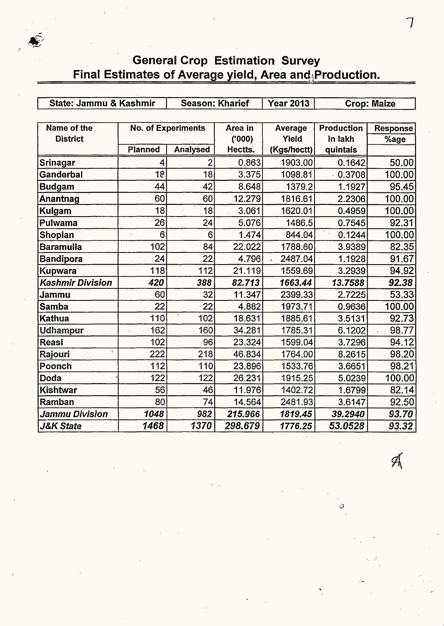#### General Crop Estimation Survey Final Estimates of Average yield, Area and $\mathbb R$ Production.

| State: Jammu & Kashmir  |         | <b>Season: Kharief</b>    |         | <b>Year 2013</b> | <b>Crop: Maize</b> |          |  |
|-------------------------|---------|---------------------------|---------|------------------|--------------------|----------|--|
|                         |         |                           |         |                  |                    |          |  |
| Name of the             |         | <b>No. of Experiments</b> | Area in | Average          | <b>Production</b>  | Response |  |
| <b>District</b>         |         |                           | (000)   | Yield            | in lakh            | %age     |  |
|                         | Planned | Analysed                  | Hectts. | (Kgs/hectt)      | quintals           |          |  |
| <b>Srinagar</b>         | 4       |                           | 0.863   | 1903.00          | 0.1642             |          |  |
| <b>Ganderbal</b>        | 18      | 18                        | 3.375   | 1098.81          | 0.3708             | 100.00   |  |
| <b>Budgam</b>           | 44      | 42                        | 8.648   | 1379.2           | 1.1927             | 95.45    |  |
| Anantnag                | 60      | 60                        | 12.279  | 1816.61          | 2.2306             | 100.00   |  |
| <b>Kulgam</b>           | 18      | 18                        | 3.061   | 1620.01          | 0.4959             | 100.00   |  |
| Pulwama                 | 26      | 24                        | 5.076   | 1486.5           | 0.7545             | 92.31    |  |
| <b>Shopian</b>          | 6       | 6                         | 1.474   | 844.04           | Ŧ.,<br>0.1244      | 100.00   |  |
| Baramulla               | 102     | 84                        | 22.022  | 1788.60          | 3.9389             | 82.35    |  |
| <b>Bandipora</b>        | 24      | 22                        | 4.796   | 2487.04          | 1.1928             | 91.67    |  |
| Kupwara                 | 118     | 112                       | 21.119  | 1559.69          | 3.2939             | 94.92    |  |
| <b>Kashmir Division</b> | 420     | 388                       | 82.713  | 1663.44          | 13.7588            | 92.38    |  |
| Jammu                   | 60      | 32                        | 11.347  | 2399.33          | 2.7225             | 53.33    |  |
| Samba                   | 22      | 22                        | 4.882   | 1973.71          | 0.9636             | 100.00   |  |
| Kathua                  | 110     | 102                       | 18.631  | 1885.61          | 3.5131             | 92.73    |  |
| <b>Udhampur</b>         | 162     | 160                       | 34.281  | 1785.31          | 6.1202             | 98.77    |  |
| Reasi                   | 102     | 96                        | 23.324  | 1599.04          | 3.7296             | 94.12    |  |
| Rajouri                 | 222     | 218                       | 46.834  | 1764.00          | 8.2615             | 98.20    |  |
| Poonch                  | 112     | 110                       | 23.896  | 1533.76          | 3.6651             | 98.21    |  |
| Doda                    | 122     | 122                       | 26.231  | 1915.25          | 5.0239             | 100.00   |  |
| Kishtwar                | 56      | 46                        | 11.976  | 1402.72          | 1.6799             | 82.14    |  |
| Ramban                  | 80      | 74                        | 14.564  | 2481.93          | 3.6147             | 92.50    |  |
| Jammu Division          | 1048    | 982                       | 215.966 | 1819.45          | 39.2940            | 93.70    |  |
| <b>J&amp;K State</b>    | 1468    | 1370                      | 298.679 | 1776.25          | 53.0528            | 93.32    |  |

 $\mathscr{A}$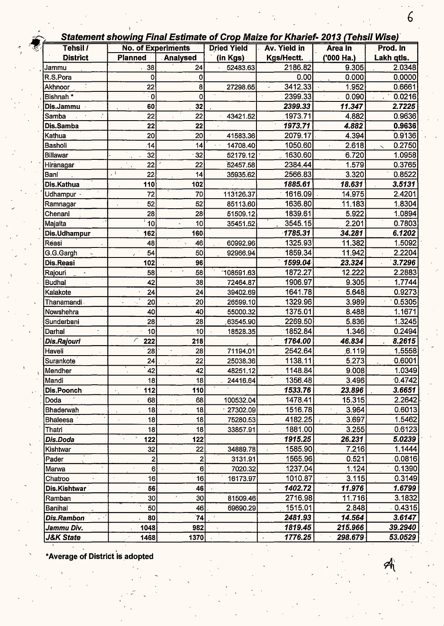| Tehsil /<br><b>No. of Experiments</b><br><b>Dried Yield</b><br>Av. Yield in<br>Area In<br><b>District</b><br><b>Planned</b><br>Kgs/Hectt.<br><b>Analysed</b><br>(in Kgs)<br>('000 Ha.)<br>2186.82<br>9.305<br>38<br>24<br>52483.63<br>Jammu<br>0.00<br>0.000<br>R.S.Pora<br>0<br>0<br>3412.33<br>22<br>1.952<br>27298.65<br>Akhnoor<br>8<br>2399.33<br>Bishnah *<br>0.090<br>$\cdot$ O<br>0<br>2399.33<br>11.347<br>60<br>Dis.Jammu<br>32<br>1973.71<br>Samba<br>22<br>22<br>4.882<br>43421.52<br>1973.71<br>4.882<br>Dis.Samba<br>22<br>22<br>20<br>2079.17<br>20<br>41583.36<br>4.394<br>Kathua<br>1050.60<br>Bashóli<br>2.618<br>14<br>14<br>14708.40<br>1630,60<br>32<br>32<br>6.720<br>Billawar<br>52179.12<br>2384.44<br>22<br>1.579<br>22<br>52457.58<br>Hiranagar<br>J V<br>3.320<br>2566.83<br>22<br>14<br>35935.62<br>Bani<br>1885.61<br>18.631<br>102<br>Dis.Kathua<br>110<br>1616.09<br>14.975<br>113126.37<br>72<br>70<br>Udhampur - | Prod. In<br>Lakh qtls.<br>2.0348<br>0.0000<br>0.6661<br>0.0216<br>2.7225<br>0.9636<br>0.9636<br>0.9136<br>0.2750<br>1.0958<br>0.3765<br>0.8522<br>3.5131<br>2.4201<br>1.8304 |
|---------------------------------------------------------------------------------------------------------------------------------------------------------------------------------------------------------------------------------------------------------------------------------------------------------------------------------------------------------------------------------------------------------------------------------------------------------------------------------------------------------------------------------------------------------------------------------------------------------------------------------------------------------------------------------------------------------------------------------------------------------------------------------------------------------------------------------------------------------------------------------------------------------------------------------------------------|------------------------------------------------------------------------------------------------------------------------------------------------------------------------------|
|                                                                                                                                                                                                                                                                                                                                                                                                                                                                                                                                                                                                                                                                                                                                                                                                                                                                                                                                                   |                                                                                                                                                                              |
|                                                                                                                                                                                                                                                                                                                                                                                                                                                                                                                                                                                                                                                                                                                                                                                                                                                                                                                                                   |                                                                                                                                                                              |
|                                                                                                                                                                                                                                                                                                                                                                                                                                                                                                                                                                                                                                                                                                                                                                                                                                                                                                                                                   |                                                                                                                                                                              |
|                                                                                                                                                                                                                                                                                                                                                                                                                                                                                                                                                                                                                                                                                                                                                                                                                                                                                                                                                   |                                                                                                                                                                              |
|                                                                                                                                                                                                                                                                                                                                                                                                                                                                                                                                                                                                                                                                                                                                                                                                                                                                                                                                                   |                                                                                                                                                                              |
|                                                                                                                                                                                                                                                                                                                                                                                                                                                                                                                                                                                                                                                                                                                                                                                                                                                                                                                                                   |                                                                                                                                                                              |
|                                                                                                                                                                                                                                                                                                                                                                                                                                                                                                                                                                                                                                                                                                                                                                                                                                                                                                                                                   |                                                                                                                                                                              |
|                                                                                                                                                                                                                                                                                                                                                                                                                                                                                                                                                                                                                                                                                                                                                                                                                                                                                                                                                   |                                                                                                                                                                              |
|                                                                                                                                                                                                                                                                                                                                                                                                                                                                                                                                                                                                                                                                                                                                                                                                                                                                                                                                                   |                                                                                                                                                                              |
|                                                                                                                                                                                                                                                                                                                                                                                                                                                                                                                                                                                                                                                                                                                                                                                                                                                                                                                                                   |                                                                                                                                                                              |
|                                                                                                                                                                                                                                                                                                                                                                                                                                                                                                                                                                                                                                                                                                                                                                                                                                                                                                                                                   |                                                                                                                                                                              |
|                                                                                                                                                                                                                                                                                                                                                                                                                                                                                                                                                                                                                                                                                                                                                                                                                                                                                                                                                   |                                                                                                                                                                              |
|                                                                                                                                                                                                                                                                                                                                                                                                                                                                                                                                                                                                                                                                                                                                                                                                                                                                                                                                                   |                                                                                                                                                                              |
|                                                                                                                                                                                                                                                                                                                                                                                                                                                                                                                                                                                                                                                                                                                                                                                                                                                                                                                                                   |                                                                                                                                                                              |
|                                                                                                                                                                                                                                                                                                                                                                                                                                                                                                                                                                                                                                                                                                                                                                                                                                                                                                                                                   |                                                                                                                                                                              |
| 1636.80<br>11.183<br>52<br>52<br>85113.60<br>Ramnagar                                                                                                                                                                                                                                                                                                                                                                                                                                                                                                                                                                                                                                                                                                                                                                                                                                                                                             |                                                                                                                                                                              |
| 1839.61<br>28<br>51509.12<br>5.922<br>28<br>Chenani                                                                                                                                                                                                                                                                                                                                                                                                                                                                                                                                                                                                                                                                                                                                                                                                                                                                                               | 1.0894                                                                                                                                                                       |
| 10<br>2.201<br>3545.15<br>Majalta<br>10<br>35451.52                                                                                                                                                                                                                                                                                                                                                                                                                                                                                                                                                                                                                                                                                                                                                                                                                                                                                               | 0.7803                                                                                                                                                                       |
| 1785.31<br>34.281<br>160<br>Dis.Udhampur<br>162                                                                                                                                                                                                                                                                                                                                                                                                                                                                                                                                                                                                                                                                                                                                                                                                                                                                                                   | 6.1202                                                                                                                                                                       |
| 1325.93<br>11.382<br>Reasi<br>46<br>60992.96<br>48                                                                                                                                                                                                                                                                                                                                                                                                                                                                                                                                                                                                                                                                                                                                                                                                                                                                                                | 1.5092                                                                                                                                                                       |
| 1859.34<br>54<br>50<br>11.942<br>G.G.Gargh<br>92966.94                                                                                                                                                                                                                                                                                                                                                                                                                                                                                                                                                                                                                                                                                                                                                                                                                                                                                            | 2.2204                                                                                                                                                                       |
| 1599.04<br>23.324<br>Dis.Reasi<br>102<br>96                                                                                                                                                                                                                                                                                                                                                                                                                                                                                                                                                                                                                                                                                                                                                                                                                                                                                                       | 3.7296                                                                                                                                                                       |
| 1872.27<br>12.222<br>58<br>108591.63<br>58<br>Rajouri                                                                                                                                                                                                                                                                                                                                                                                                                                                                                                                                                                                                                                                                                                                                                                                                                                                                                             | 2.2883                                                                                                                                                                       |
| 1906.97<br><b>Budhal</b><br>38<br>72464.87<br>9.305<br>42                                                                                                                                                                                                                                                                                                                                                                                                                                                                                                                                                                                                                                                                                                                                                                                                                                                                                         | 1.7744                                                                                                                                                                       |
| 1641.78<br>Kalakote<br>24<br>5.648<br>24<br>39402.69                                                                                                                                                                                                                                                                                                                                                                                                                                                                                                                                                                                                                                                                                                                                                                                                                                                                                              | 0.9273                                                                                                                                                                       |
| 20<br>26599.10<br>1329.96<br>3.989<br>20<br>Thanamandi <sub>'</sub><br>×.                                                                                                                                                                                                                                                                                                                                                                                                                                                                                                                                                                                                                                                                                                                                                                                                                                                                         | 0.5305                                                                                                                                                                       |
| 1375.01<br>8.488<br>40<br>55000.32<br>Nowshehra<br>40                                                                                                                                                                                                                                                                                                                                                                                                                                                                                                                                                                                                                                                                                                                                                                                                                                                                                             | 1.1671                                                                                                                                                                       |
| 2269.50<br>28<br>5.836<br>28<br>63545.90<br>Sunderbani                                                                                                                                                                                                                                                                                                                                                                                                                                                                                                                                                                                                                                                                                                                                                                                                                                                                                            | 1.3245                                                                                                                                                                       |
| 1852.84<br>10<br>1.346<br>10<br>Darhal<br>18528.35                                                                                                                                                                                                                                                                                                                                                                                                                                                                                                                                                                                                                                                                                                                                                                                                                                                                                                | 0.2494                                                                                                                                                                       |
| 1764.00<br>╱<br>222<br>46.834<br>218<br>Dis.Rajouri                                                                                                                                                                                                                                                                                                                                                                                                                                                                                                                                                                                                                                                                                                                                                                                                                                                                                               | 8.2615                                                                                                                                                                       |
| 28<br>2542.64<br>6.119<br>Haveli<br>28<br>71194.01                                                                                                                                                                                                                                                                                                                                                                                                                                                                                                                                                                                                                                                                                                                                                                                                                                                                                                | 1.5558                                                                                                                                                                       |
| 1138.11<br>22<br>25038.36<br>5.273<br>24<br>Surankote                                                                                                                                                                                                                                                                                                                                                                                                                                                                                                                                                                                                                                                                                                                                                                                                                                                                                             | 0.6001                                                                                                                                                                       |
| 9.008<br>42<br>48251.12<br>1148.84<br>42<br>Mendher                                                                                                                                                                                                                                                                                                                                                                                                                                                                                                                                                                                                                                                                                                                                                                                                                                                                                               | 1.0349                                                                                                                                                                       |
| 18<br>18<br>3.496<br>1356.48<br>24416.64<br>Mandi                                                                                                                                                                                                                                                                                                                                                                                                                                                                                                                                                                                                                                                                                                                                                                                                                                                                                                 | 0.4742                                                                                                                                                                       |
| 1533.76<br>23.896<br>Dis.Poonch<br>112<br>110                                                                                                                                                                                                                                                                                                                                                                                                                                                                                                                                                                                                                                                                                                                                                                                                                                                                                                     | 3.6651                                                                                                                                                                       |
| 1478.41<br>15.315<br>Doda<br>68<br>68<br>100532.04                                                                                                                                                                                                                                                                                                                                                                                                                                                                                                                                                                                                                                                                                                                                                                                                                                                                                                | 2.2642                                                                                                                                                                       |
| 18<br>1516.78<br>18<br>$-27302.09$<br>3.964<br>Bhaderwah                                                                                                                                                                                                                                                                                                                                                                                                                                                                                                                                                                                                                                                                                                                                                                                                                                                                                          | 0.6013                                                                                                                                                                       |
| 18<br>4182.25<br>3.697<br>18<br>75280.53<br>Bhaleesa                                                                                                                                                                                                                                                                                                                                                                                                                                                                                                                                                                                                                                                                                                                                                                                                                                                                                              | 1.5462                                                                                                                                                                       |
| 1881.00<br>18<br>18<br>3.255<br>Thatri<br>33857.91                                                                                                                                                                                                                                                                                                                                                                                                                                                                                                                                                                                                                                                                                                                                                                                                                                                                                                | 0.6123                                                                                                                                                                       |
| 1915.25<br>26.231<br>122<br>Dis.Doda<br>122                                                                                                                                                                                                                                                                                                                                                                                                                                                                                                                                                                                                                                                                                                                                                                                                                                                                                                       | 5.0239                                                                                                                                                                       |
| 32<br>1585.90<br>7.216<br>22<br>34889.78<br>Kishtwar                                                                                                                                                                                                                                                                                                                                                                                                                                                                                                                                                                                                                                                                                                                                                                                                                                                                                              | 1.1444                                                                                                                                                                       |
| $\overline{\mathbf{c}}$<br>1565.96<br>0.521<br>$\mathbf{z}$<br>3131.91<br>Pader                                                                                                                                                                                                                                                                                                                                                                                                                                                                                                                                                                                                                                                                                                                                                                                                                                                                   | .0.0816                                                                                                                                                                      |
| 6<br>1237.04<br>1.124<br>6 <br>7020.32<br>Marwa                                                                                                                                                                                                                                                                                                                                                                                                                                                                                                                                                                                                                                                                                                                                                                                                                                                                                                   | 0.1390                                                                                                                                                                       |
| 16<br>16<br>1010.87<br>3.115<br>16173.97<br>Chatroo                                                                                                                                                                                                                                                                                                                                                                                                                                                                                                                                                                                                                                                                                                                                                                                                                                                                                               | 0.3149                                                                                                                                                                       |
| 46<br>1402.72<br>11.976<br>Dis.Kishtwar<br>56                                                                                                                                                                                                                                                                                                                                                                                                                                                                                                                                                                                                                                                                                                                                                                                                                                                                                                     | 1.6799                                                                                                                                                                       |
| 30<br>30 <sub>l</sub><br>2716.98<br>11.716<br>81509.46<br>Ramban                                                                                                                                                                                                                                                                                                                                                                                                                                                                                                                                                                                                                                                                                                                                                                                                                                                                                  | 3.1832                                                                                                                                                                       |
| 1515.01<br>46<br>69690.29<br>2.848<br>Banihal<br>50                                                                                                                                                                                                                                                                                                                                                                                                                                                                                                                                                                                                                                                                                                                                                                                                                                                                                               | $-0.4315$                                                                                                                                                                    |
| 74<br>2481.93<br>14.564<br>80<br><b>Dis.Rambon</b>                                                                                                                                                                                                                                                                                                                                                                                                                                                                                                                                                                                                                                                                                                                                                                                                                                                                                                | 3.6147                                                                                                                                                                       |
| 1819.45<br>215.966<br>Jammu Div.<br>1048<br>982                                                                                                                                                                                                                                                                                                                                                                                                                                                                                                                                                                                                                                                                                                                                                                                                                                                                                                   |                                                                                                                                                                              |
| 1776.25<br>298.679<br><b>J&amp;K State</b><br>1468<br>1370<br>$\pmb{t}$                                                                                                                                                                                                                                                                                                                                                                                                                                                                                                                                                                                                                                                                                                                                                                                                                                                                           | 39.2940                                                                                                                                                                      |

\*Average of District is adopted

4

6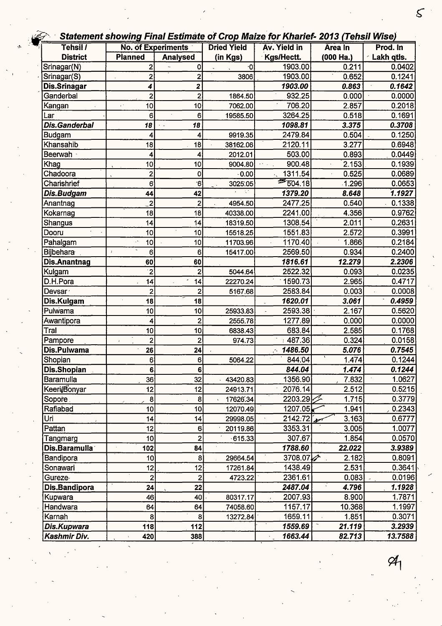#### -r - · **Statement showing Final Estimate of Crop Maize for Kharief- 2013 (Tehsil Wisej**

| Tehsil /             |                                        | <b>No. of Experiments</b> | <b>Dried Yield</b> | URGINGIN SHOWING I MAI LJUMAG UI UIUP MAIZG IUI I MAINGI- ZUTU (TGNJII WIJG)<br>Av. Yield in | Area In   | Prod. In   |
|----------------------|----------------------------------------|---------------------------|--------------------|----------------------------------------------------------------------------------------------|-----------|------------|
| <b>District</b>      | <b>Planned</b>                         | <b>Analysed</b>           | (in Kgs)           | Kgs/Hectt.                                                                                   | (000 Ha.) | Lakh qtis. |
| Srinagar(N)          | $\overline{2}$                         | 0                         | ٠O                 | 1903.00                                                                                      | 0.211     | 0.0402     |
| Srinagar(S)          | 2                                      | 2                         | 3806               | 1903.00                                                                                      | 0.652     | 0.1241     |
| Dis.Srinagar         | 4                                      | 2                         |                    | 1903.00                                                                                      | 0.863     | 0.1642     |
| Ganderbal            | 2                                      | $\overline{2}$            | 1864.50            | 932,25                                                                                       | 0.000     | 0.0000     |
| Kangan               | 10 <sup>1</sup><br>уÝ.                 | 10                        | 7062.00            | 706.20                                                                                       | 2.857     | 0.2018     |
| Lar                  | 6                                      | 6                         | 19585.50           | 3264.25                                                                                      | 0.518     | 0.1691     |
| <b>Dis.Ganderbal</b> | 18                                     | 18                        |                    | 1098.81                                                                                      | 3.375     | 0.3708     |
| <b>Budgam</b>        |                                        | 4                         | 9919.35            | 2479.84                                                                                      | 0.504     | 0.1250     |
| Khansahib            | 18                                     | 18                        | 38162.06           | 2120.11                                                                                      | 3.277     | 0.6948     |
| Beerwah -            | 4                                      | 4                         | 2012.01            | 503.00                                                                                       | 0.893     | 0.0449     |
| Khag                 | 10 <sup>1</sup>                        | 10                        | 9004.80            | 900.48                                                                                       | 2.153     | 0.1939     |
| Chadoora             | $\overline{2}$                         | 0                         | 0.00               | 1311.54                                                                                      | 0.525     | 0.0689     |
| Charishrief          | 6                                      | $6^{\circ}$               | 3025.05            | $\frac{25}{504.18}$                                                                          | .1.296    | 0.0653     |
| Dis.Budgam           | 44                                     | 42                        | A.                 | 1379.20                                                                                      | 8.648     | 1.1927     |
| Anantnag             | $\lfloor 2 \rfloor$                    | $\overline{\mathbf{c}}$   | 4954.50            | 2477.25                                                                                      | 0.540     | 0.1338     |
| Kokarnag             | 18                                     | 18                        | 40338.00           | 2241.00                                                                                      | 4.356     | 0.9762     |
| Shangus              | 4                                      | 14                        | 18319.50           | 1308.54                                                                                      | 2.011     | 0.2631     |
| Dooru                | 10                                     | 10                        | 15518.25           | 1551.83                                                                                      | 2.572     | 0.3991     |
| Pahalgam             | 10                                     | 10                        | 11703.96           | 1170.40                                                                                      | 1.866     | 0.2184     |
| Bijbehara            | 6<br>$\boldsymbol{J}$                  | 6                         | 15417.00           | 2569.50                                                                                      | 0.934     | 0.2400     |
| Dis.Anantnag         | 60                                     | 60                        |                    | 1816.61                                                                                      | 12.279    | 2.2306     |
| Kulgam               | $\cdot$ 2                              | $\overline{2}$            | 5044.64            | 2522.32                                                                                      | 0.093     | 0.0235     |
| D.H.Pora             | 14                                     | 14                        | 22270.24           | 1590.73                                                                                      | 2.965     | 0.4717     |
| Devsar <sup>7</sup>  | $\overline{c}$                         | $\overline{2}$            | 5167.68            | 2583.84                                                                                      | 0.003     | 0.0008     |
| Dis.Kulgam           | 18                                     | 18                        |                    | 1620.01                                                                                      | 3.061     | 0.4959     |
| Pulwama              | 10                                     | 10                        | 25933.83           | 2593.38                                                                                      | 2.167     | 0.5620     |
| Awantipora           | 4                                      | 2                         | 2555.78            | 1277.89                                                                                      | 0.000     | 0.0000     |
| Tral                 | 10                                     | 10                        | 6838.43            | 683.84                                                                                       | 2.585     | 0.1768     |
| Pampore              | $\overline{c}$<br>$\ddot{\phantom{a}}$ | $\overline{2}$            | 974.73             | : 487.36                                                                                     | 0.324     | 0.0158     |
| Dis.Pulwama          | 26                                     | 24                        |                    | 1486.50<br>УY.                                                                               | 5.076     | 0.7545     |
| Shopian              | 6 <sup>1</sup>                         | 6                         | 5064.22            | 844.04                                                                                       | 1.474     | 0.1244     |
| Dis.Shopian          | 6                                      | 6                         |                    | 844.04                                                                                       | 1.474     | 0.1244     |
| Baramulla            | 36                                     | 32                        | 43420.83           | 1356.90                                                                                      | 7.832     | 1.0627     |
| Keeri/Bonyar         | 12                                     | 12                        | 24913.71           | 2076.14                                                                                      | 2.512     | 0.5215     |
| Sopore.              | 8                                      | 8                         | 17626.34           | ⊱2203.29                                                                                     | 1.715     | 0.3779     |
| Rafiabad             | 10                                     | 10                        | 12070.49           | 1207.05                                                                                      | 1.941     | 0.2343     |
| Uri                  | 14                                     | 14                        | 29998.05           | 2142:72                                                                                      | 3.163     | 0.6777     |
| Pattan               | 12                                     | 6                         | 20119.86           | 3353.31                                                                                      | 3.005     | 1.0077     |
| Tangmarg             | 10                                     | 2                         | $-615.33$          | 307.67                                                                                       | 1.854     | 0.0570     |
| Dis.Baramulla        | 102                                    | 84                        |                    | 1788.60                                                                                      | 22.022    | 3.9389     |
| Bandipora            | 10 <sup>1</sup>                        | 8                         | 29664.54           | 3708.07                                                                                      | 2.182     | 0.8091     |
| Sonawari             | 12                                     | 12                        | 17261.84           | 1438.49                                                                                      | 2.531     | 0.3641     |
| Gureze-              | 2                                      | 2                         | 4723.22            | 2361.61                                                                                      | 0.083     | 0.0196     |
| Dis.Bandipora        | 24                                     | 22                        |                    | 2487.04                                                                                      | 4.796     | 1.1928     |
| Kupwara              | 46                                     | 40                        | 80317.17           | 2007.93                                                                                      | 8.900     | 1.7871     |
| Handwara             | 64                                     | 64                        | 74058.60           | 1157.17                                                                                      | 10.368    | 1.1997     |
| Karnah               | 8                                      | 8                         | 13272.84           | 1659.11                                                                                      | 1.851     | 0.3071     |
| Dis.Kupwara          | 118                                    | 112                       |                    | 1559.69                                                                                      | 21.119    | 3.2939     |
| Kashmir Div.         | 420                                    | 388                       |                    | 1663.44                                                                                      | 82.713    | 13.7588    |

 $\mathcal{S}$ 

 $\mathfrak{A}_1$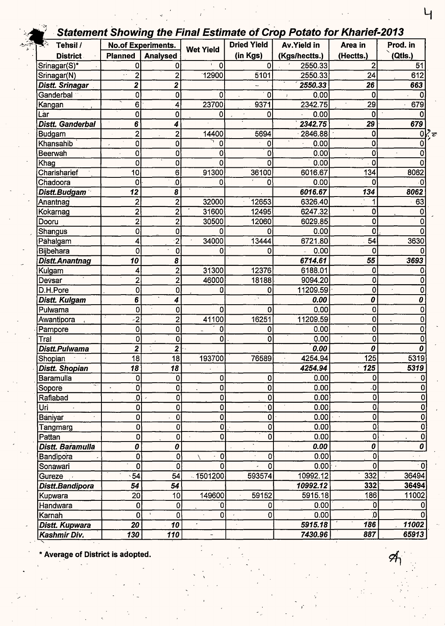### Statement Showing the Final Estimate of Crop Potato for Kharief-2013

| $\overline{\mathcal{E}}$<br>Tehsil / |                         | <br><b>No.of Experiments.</b> |                  | <b>Dried Yield</b> | Av.Yield in   | Area in                 | Prod. in     |
|--------------------------------------|-------------------------|-------------------------------|------------------|--------------------|---------------|-------------------------|--------------|
| <b>District</b>                      | <b>Planned</b>          | <b>Analysed</b>               | <b>Wet Yield</b> | (in Kgs)           | (Kgs/hectts.) | (Hectts.)               | (Qtls.)      |
| Srinagar(S)*                         | 0                       | 0                             | 0                | 0                  | 2550.33       | 2                       | 51           |
| Srinagar(N)                          | $\overline{\mathbf{c}}$ | $\overline{2}$                | 12900            | 5101               | 2550.33       | 24                      | 612          |
| Distt. Srinagar                      | $\overline{2}$          | 2                             |                  |                    | 2550.33       | 26                      | 663          |
| Ganderbal                            | 0                       | 0                             | 0                | 0                  | 0.00          | 0                       | 0            |
| Kangan                               | 6                       | 4                             | 23700            | 9371               | 2342.75       | 29                      | 679          |
| Lar                                  | 0                       | 0                             | 0                | 0                  | 0.00          | 0                       | <sup>0</sup> |
| Distt. Ganderbal                     | 6                       | 4                             |                  |                    | 2342.75       | 29                      | 679          |
| <b>Budgam</b>                        | $\overline{c}$          | $\overline{2}$                | 14400            | 5694               | 2846.88       | 0                       | 0            |
| Khansahib                            | 0                       | 0                             | 0                | 0                  | 0.00          | 0                       | 0            |
| Beerwah                              | 0                       | 0                             | 0                | 0                  | 0.00          | 0                       |              |
| Khag                                 | 0                       | 0                             | O                | 0                  | 0.00          | 0                       |              |
| Charisharief                         | 10                      | 6                             | 91300            | 36100              | 6016.67       | 134                     | 8062         |
| Chadoora                             | 0                       | O                             | O                | 0                  | 0.00          | 0                       |              |
| Distt.Budgam                         | 12                      | 8                             |                  |                    | 6016.67       | 134                     | 8062         |
| Anantnag                             | $\overline{2}$          | $\overline{c}$                | 32000            | 12653              | 6326.40       |                         | 63           |
| Kokarnag                             | $\overline{2}$          | $\overline{2}$                | 31600            | 12495              | 6247.32       | 0                       | 0            |
| Dooru                                | $\overline{2}$          | $\overline{c}$                | 30500            | 12060              | 6029.85       | 0                       | 0            |
| Shangus                              | 0                       | 0                             | 0                | 0                  | 0.00          | 0                       |              |
| Pähalgam                             | 4                       | $\overline{2}$                | 34000            | 13444              | 6721.80       | 54                      | 3630         |
| Bijbehara                            | 0                       | 0                             | 0                | 0                  | 0.00          | 0                       |              |
| Distt.Anantnag                       | 10                      | 8                             |                  |                    | 6714.61       | 55                      | 3693         |
|                                      | 4                       | $\overline{c}$                | 31300            | 12376              | 6188.01       | 0                       |              |
| Kulgam<br>Devsar                     | $\overline{c}$          | $\overline{2}$                | 46000            | 18188              | 9094.20       | 0                       |              |
| D.H.Pore                             | $\overline{0}$          | 0                             | 0                |                    | 11209.59      | 0                       | 0            |
| Distt. Kulgam                        | 6                       | 4                             |                  | 0                  | 0.00          | 0                       | 0            |
| Pulwama                              | 0                       |                               | 0                | 0                  | 0.00          | 0                       | 0            |
|                                      | $-2$                    | 0                             | 41100            | 16251              | 11209.59      | 0                       | 0            |
| Awantipora                           | $\overline{0}$          | $\overline{c}$                |                  |                    |               | 0                       |              |
| Pampore                              |                         | 0                             | 0                | 0                  | 0.00          |                         |              |
| Tral                                 | 0                       | 0                             | 0                | 0                  | 0.00          | 0<br>0                  |              |
| Distt.Pulwama                        | $\overline{\mathbf{2}}$ | $\overline{2}$                | 193700           |                    | 0.00          |                         |              |
| Shopian                              | 18                      | 18                            |                  | 76589              | 4254.94       | 125                     | 5319         |
| <b>Distt. Shopian</b>                | 18                      | 18                            |                  |                    | 4254.94       | $\overline{125}$        | 5319         |
| Baramulla                            | 0                       | 0                             | 0                | 0                  | 0.00          | 0                       | 0            |
| Sopore                               | 0                       | 0                             | 0                | 0                  | 0.00          | $\overline{\mathbf{0}}$ | 0<br>٥       |
| Rafiabad                             | 0                       | 0                             | 0                | 0                  | 0.00          | 0                       |              |
| Uri                                  | 0                       | 0                             | 0                | $\mathbf 0$        | 0.00          | 0                       | 0            |
| Baniyar                              | 0                       | 0                             | 0                | 0                  | 0.00          | 0                       | 0            |
| Tangmarg                             | 0                       | 0                             | $\mathbf{0}$     | 0                  | 0.00          | 0                       | 0            |
| Pattan                               | $\overline{0}$          | 0                             | 0                | $\mathbf 0$        | 0.00          | 0                       | 0            |
| Distt. Baramulla                     | 0                       | 0                             |                  |                    | 0.00          | 0                       | 0            |
| Bandipora                            | 0                       | 0                             | $\mathbf 0$<br>À | 0                  | 0.00          | $\mathbf 0$             |              |
| Sonawari                             | $\mathbf 0$             | 0                             | 0                | $\mathbf 0$        | 0.00          | 0                       | $\Omega$     |
| Gureze                               | 54                      | 54                            | $-1501200$       | 593574             | 10992.12      | 332                     | 36494        |
| Distt.Bandipora                      | 54                      | 54                            |                  |                    | 10992.12      | 332                     | 36494        |
| Kupwara                              | 20                      | 10                            | 149600           | 59152              | 5915.18       | 186                     | 11002        |
| Handwara                             | $\pmb{0}$               | 0                             | 0ľ               | 0                  | 0.00          | 0                       |              |
| Karnah                               | $\mathbf 0$             | 0                             | 0                | 0                  | 0.00          | $\mathbf{0}$            |              |
| Distt. Kupwara                       | 20                      | $\overline{10}$               |                  |                    | 5915.18       | 186                     | 11002        |
| Kashmir Div.                         | 130                     | 110                           |                  |                    | 7430.96       | 887                     | 65913        |

Average of District is adopted.

 $\mathsf{L}_{\mathsf{I}}$ 

Я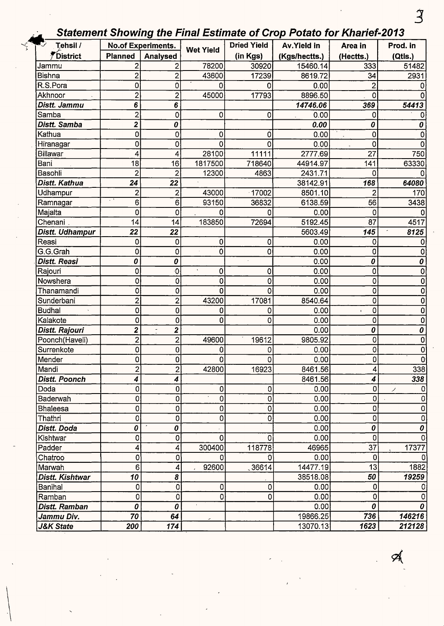## *3 J.~* Statement Showing the Final Estimate of Crop Potato for Kharief-2013 -~ Tehsil / **No.of Experiments. Dried Yield Av.Yield in Area in Prod. in**

| Tehsil /             |                         | <b>No.of Experiments.</b>                           | <b>Wet Yield</b> | <b>Dried Yield</b> | <b>Av.Yield in</b> | Area in            | Prod. in     |
|----------------------|-------------------------|-----------------------------------------------------|------------------|--------------------|--------------------|--------------------|--------------|
| <i>F</i> District    | <b>Planned</b>          | Analysed                                            |                  | (in Kgs)           | (Kgs/hectts.)      | (Hectts.)          | (Qtls.)      |
| Jammu                | $\overline{2}$          | 2                                                   | 78200            | 30920              | 15460.14           | 333                | 51482        |
| <b>Bishna</b>        | 2                       | $\overline{2}$                                      | 43600            | 17239              | 8619.72            | 34                 | 2931         |
| R.S.Pora             | 0                       | 0                                                   | 0                | 0                  | 0.00               | $\overline{c}$     |              |
| Akhnoor              | $\overline{2}$          | $\overline{2}$                                      | 45000            | 17793              | 8896.50            | 0                  |              |
| Distt. Jammu         | 6                       | 6                                                   |                  |                    | 14746.06           | 369                | 54413        |
| Samba                | $\overline{2}$          | 0                                                   | 0                | 0                  | 0.00               | 0                  |              |
| Distt. Samba         | $\overline{\mathbf{z}}$ | 0                                                   |                  |                    | 0.00               | 0                  | 0            |
| Kathua               | 0                       | 0                                                   | 0                | 0                  | 0.00               | 0                  |              |
| Hiranagar            | 0                       | 0                                                   | 0                | 0                  | 0.00               | 0                  |              |
| Billawar             | 4                       | 4                                                   | 28100            | 11111              | 2777.69            | 27                 | 750          |
| Bani                 | 18                      | 16                                                  | 1817500          | 718640             | 44914.97           | 141                | 63330        |
| Basohli              | $\overline{2}$          | 2                                                   | 12300            | 4863               | 2431.71            | 0                  |              |
| Distt. Kathua        | 24                      | 22                                                  |                  |                    | 38142.91           | 168                | 64080        |
| Udhampur             | $\overline{2}$          | 2                                                   | 43000            | 17002              | 8501.10            | 2                  | 170          |
| Ramnagar             | $\sim$ $^3$<br>6        | 6                                                   | 93150            | 36832              | 6138.59            | 56                 | 3438         |
| Majalta              | 0                       | 0                                                   | 0                | 0                  | 0.00               | 0                  |              |
| Chenani              | 14                      | 14                                                  | 183850           | 72694              | 5192.45            | 87                 | 4517         |
| Distt. Udhampur      | 22                      | 22                                                  |                  |                    | 5603.49            | 145                | 8125         |
| Reasi                | 0                       | 0                                                   | 0                | 0                  | 0.00               | 0                  |              |
| G.G.Grah             | 0                       | 0                                                   | $\mathbf 0$      | 0                  | 0.00               | 0                  |              |
| <b>Distt. Reasi</b>  | 0                       | 0                                                   |                  |                    | 0.00               | $\pmb{\mathit{0}}$ | 0            |
| Rajouri              | 0                       | $\theta$                                            | 0                | 0                  | 0.00               | 0                  | 0            |
| Nowshera             | 0                       | 0                                                   | 0                | 0                  | 0.00               | 0                  | 0            |
| Thanamandi           | 0                       | 0                                                   | 0                | 0                  | 0.00               | 0                  | 0            |
| Sunderbani           | 2                       | $\overline{2}$                                      | 43200            | 17081              | 8540.64            | 0                  | 0            |
| <b>Budhal</b>        | 0                       | 0                                                   | 0.00<br>0<br>0   |                    | 0                  | 0                  |              |
| Kalakote             | 0                       | 0                                                   | 0<br>0.00<br>0   |                    | 0                  | 0                  |              |
| Distt. Rajouri       | $\overline{c}$          | $\overline{\mathbf{2}}$<br>$\overline{\phantom{a}}$ |                  |                    | 0.00               | 0                  | 0            |
| Poonch(Haveli)       | $\overline{2}$          | $\overline{c}$                                      | 49600            | 19612              | 9805.92            | 0                  | 0            |
| Surrenkote           | 0                       | 0                                                   | 0                | 0                  | 0.00               | 0                  | 0            |
| Mender               | 0                       | 0                                                   | 0                | 0                  | 0.00               | $\mathbf 0$        | 0            |
| İMandi               | 2                       | っ                                                   | 42800            | 16923              | 8461.56            | Δ                  | 338          |
| <b>Distt. Poonch</b> | 4                       | 4                                                   |                  |                    | 8461.56            | 4                  | 338          |
| Doda                 | 0                       | 0                                                   | 0                | 0                  | 0.00               | 0                  | ノ            |
| Baderwah             | 0                       | 0                                                   | 0                | 0                  | 0.00               | 0                  | 0            |
| <b>Bhaleesa</b>      | 0                       | 0                                                   | 0                | 0                  | 0.00               | 0                  | 0            |
| Thathri              | 0                       | 0                                                   | 0                | 0                  | 0.00               | $\circ$            | 0            |
| Distt. Doda          | 0                       | 0                                                   |                  |                    | 0.00               | 0                  | 0            |
| Kishtwar             | 0                       | $\mathbf 0$                                         | 0                | 0                  | 0.00               | $\mathbf 0$        | <sup>0</sup> |
| Padder               | 4                       | 4                                                   | 300400           | 118778             | 46965              | 37                 | 17377        |
| Chatroo              | 0                       | 0                                                   | 0                | Ω.                 | 0.00               | 0                  |              |
| Marwah               | 6                       | 4                                                   | 92600            | 36614              | 14477.19           | 13                 | 1882         |
| Distt. Kishtwar      | 10                      | 8                                                   |                  |                    | 38518.08           | 50                 | 19259        |
| Banihal              | 0                       | 0                                                   | 0                | 0                  | 0.00               | 0                  |              |
| Ramban               | 0                       | 0                                                   | 0                | 0                  | 0.00               | 0                  | 0            |
| Distt. Ramban        | 0                       | 0                                                   |                  |                    | 0.00               | 0                  | 0            |
| Jammu Div.           | 70                      | 64                                                  |                  |                    | 19866.25           | 736                | 146216       |
| <b>J&amp;K State</b> | 200                     | 174                                                 |                  |                    | 13070.13           | 1623               | 212128       |

 $\left\vert \right\vert$ 

 $\mathcal{A}$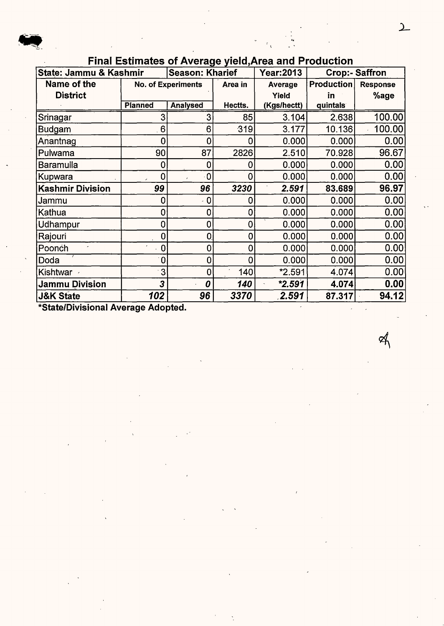#### Final Estimates of Average vield, Area and Production

| State: Jammu & Kashmir |                | Season: Kharief           | *************** | <b>Year:2013</b> |                   | <b>Crop:- Saffron</b> |
|------------------------|----------------|---------------------------|-----------------|------------------|-------------------|-----------------------|
| Name of the            |                | <b>No. of Experiments</b> | Area in         | Average          | <b>Production</b> | <b>Response</b>       |
| <b>District</b>        |                |                           |                 | Yield            | in                | %age                  |
|                        | <b>Planned</b> | <b>Analysed</b>           | Hectts.         | (Kgs/hectt)      | quintals          |                       |
| Srinagar               | 3              | 3                         | 85              | 3.104            | 2.638             | 100.00                |
| Budgam                 | 6              | 6                         | 319             | 3.177            | 10.136            | 100.00                |
| Anantnag               | 0              | 0                         |                 | 0.000            | 0.000             | 0.00                  |
| Pulwama                | 90             | 87                        | 2826            | 2.510            | 70.928            | 96.67                 |
| Baramulla              | 0              | 0                         |                 | 0.000            | 0.000             | 0.00                  |
| Kupwara                | 0              | 0                         |                 | 0.000            | 0.000             | 0.00                  |
| Kashmir Division       | 99             | 96                        | 3230            | 2.591            | 83.689            | 96.97                 |
| Jammu                  | 0              | $\cdot$ 0                 | 0               | 0.000            | 0.000             | 0.00                  |
| Kathua                 | 0              | 0                         | 0               | 0.000            | 0.000             | 0.00                  |
| Udhampur               | 0              | 0                         | 0               | 0.000            | 0.000             | 0.00                  |
| Rajouri                | 0              | $\mathbf 0$               | 0               | 0.000            | 0.000             | 0.00                  |
| Poonch                 | 0              | 0                         | 0               | 0.000            | 0.000             | 0.00                  |
| Doda                   | 0              | 0                         | 0               | 0.000            | 0.000             | 0.00                  |
| Kishtwar               | 3              | 0                         | 140             | $*2.591$         | 4.074             | 0.00                  |
| <b>Jammu Division</b>  | 3              | 0                         | 140             | $*2.591$         | 4.074             | 0.00                  |
| <b>J&amp;K State</b>   | 102            | 96                        | 3370            | 2.591            | 87.317            | 94.12                 |

\*State/Divisional Average Adopted.